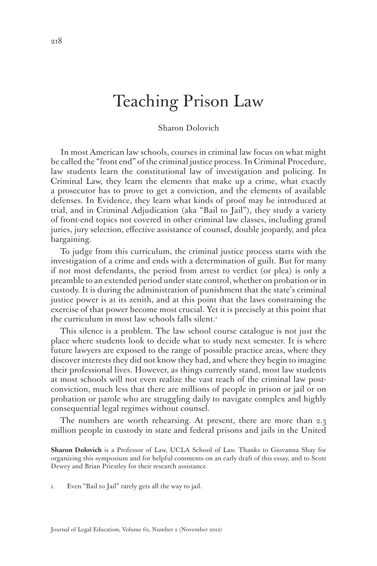## Teaching Prison Law

## Sharon Dolovich

In most American law schools, courses in criminal law focus on what might be called the "front end" of the criminal justice process. In Criminal Procedure, law students learn the constitutional law of investigation and policing. In Criminal Law, they learn the elements that make up a crime, what exactly a prosecutor has to prove to get a conviction, and the elements of available defenses. In Evidence, they learn what kinds of proof may be introduced at trial, and in Criminal Adjudication (aka "Bail to Jail"), they study a variety of front-end topics not covered in other criminal law classes, including grand juries, jury selection, effective assistance of counsel, double jeopardy, and plea bargaining.

To judge from this curriculum, the criminal justice process starts with the investigation of a crime and ends with a determination of guilt. But for many if not most defendants, the period from arrest to verdict (or plea) is only a preamble to an extended period under state control, whether on probation or in custody. It is during the administration of punishment that the state's criminal justice power is at its zenith, and at this point that the laws constraining the exercise of that power become most crucial. Yet it is precisely at this point that the curriculum in most law schools falls silent.<sup>1</sup>

This silence is a problem. The law school course catalogue is not just the place where students look to decide what to study next semester. It is where future lawyers are exposed to the range of possible practice areas, where they discover interests they did not know they had, and where they begin to imagine their professional lives. However, as things currently stand, most law students at most schools will not even realize the vast reach of the criminal law postconviction, much less that there are millions of people in prison or jail or on probation or parole who are struggling daily to navigate complex and highly consequential legal regimes without counsel.

The numbers are worth rehearsing. At present, there are more than 2.3 million people in custody in state and federal prisons and jails in the United

**Sharon Dolovich** is a Professor of Law, UCLA School of Law. Thanks to Giovanna Shay for organizing this symposium and for helpful comments on an early draft of this essay, and to Scott Dewey and Brian Priestley for their research assistance.

1. Even "Bail to Jail" rarely gets all the way to jail.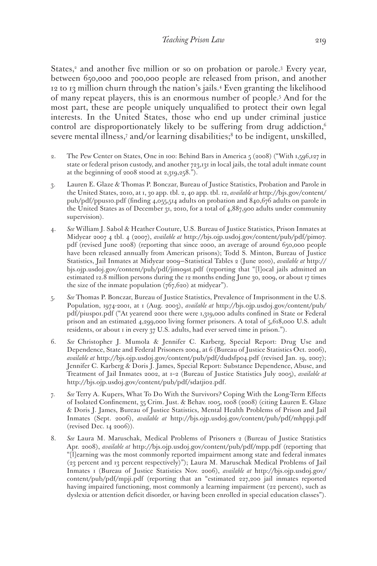States,<sup>2</sup> and another five million or so on probation or parole.<sup>3</sup> Every year, between 650,000 and 700,000 people are released from prison, and another 12 to 13 million churn through the nation's jails.4 Even granting the likelihood of many repeat players, this is an enormous number of people.5 And for the most part, these are people uniquely unqualified to protect their own legal interests. In the United States, those who end up under criminal justice control are disproportionately likely to be suffering from drug addiction,<sup>6</sup> severe mental illness,<sup>7</sup> and/or learning disabilities;<sup>8</sup> to be indigent, unskilled,

- 2. The Pew Center on States, One in 100: Behind Bars in America  $\frac{1}{2}$  (2008) ("With 1,596,127 in state or federal prison custody, and another 723,131 in local jails, the total adult inmate count at the beginning of 2008 stood at 2,319,258.").
- 3. Lauren E. Glaze & Thomas P. Bonczar, Bureau of Justice Statistics, Probation and Parole in the United States, 2010, at 1, 30 app. tbl. 2, 40 app. tbl. 12, *available at* http://bjs.gov/content/ pub/pdf/ppus10.pdf (finding 4,055,514 adults on probation and 840,676 adults on parole in the United States as of December 31, 2010, for a total of 4,887,900 adults under community supervision).
- 4. *See* William J. Sabol & Heather Couture, U.S. Bureau of Justice Statistics, Prison Inmates at Midyear 2007 4 tbl. 4 (2007), *available at* http://bjs.ojp.usdoj.gov/content/pub/pdf/pim07. pdf (revised June 2008) (reporting that since 2000, an average of around 650,000 people have been released annually from American prisons); Todd S. Minton, Bureau of Justice Statistics, Jail Inmates at Midyear 2009—Statistical Tables 2 (June 2010), *available at* http:// bjs.ojp.usdoj.gov/content/pub/pdf/jim09st.pdf (reporting that "[l]ocal jails admitted an estimated 12.8 million persons during the 12 months ending June 30, 2009, or about 17 times the size of the inmate population  $(767,620)$  at midyear").
- 5. *See* Thomas P. Bonczar, Bureau of Justice Statistics, Prevalence of Imprisonment in the U.S. Population, 1974-2001, at 1 (Aug. 2003), *available at* http://bjs.ojp.usdoj.gov/content/pub/ pdf/piusp01.pdf ("At yearend 2001 there were 1,319,000 adults confined in State or Federal prison and an estimated 4,299,000 living former prisoners. A total of 5,618,000 U.S. adult residents, or about 1 in every 37 U.S. adults, had ever served time in prison.").
- 6. *See* Christopher J. Mumola & Jennifer C. Karberg, Special Report: Drug Use and Dependence, State and Federal Prisoners 2004, at 6 (Bureau of Justice Statistics Oct. 2006), *available at* http://bjs.ojp.usdoj.gov/content/pub/pdf/dudsfp04.pdf (revised Jan. 19, 2007); Jennifer C. Karberg & Doris J. James, Special Report: Substance Dependence, Abuse, and Treatment of Jail Inmates 2002, at 1–2 (Bureau of Justice Statistics July 2005), *available at* http://bjs.ojp.usdoj.gov/content/pub/pdf/sdatji02.pdf.
- 7. *See* Terry A. Kupers, What To Do With the Survivors? Coping With the Long-Term Effects of Isolated Confinement, 35 Crim. Just. & Behav. 1005, 1008 (2008) (citing Lauren E. Glaze & Doris J. James, Bureau of Justice Statistics, Mental Health Problems of Prison and Jail Inmates (Sept. 2006), *available at* http://bjs.ojp.usdoj.gov/content/pub/pdf/mhppji.pdf (revised Dec. 14 2006)).
- 8. *See* Laura M. Maruschak, Medical Problems of Prisoners 2 (Bureau of Justice Statistics Apr. 2008), *available at* http://bjs.ojp.usdoj.gov/content/pub/pdf/mpp.pdf (reporting that "[l]earning was the most commonly reported impairment among state and federal inmates (23 percent and 13 percent respectively)"); Laura M. Maruschak Medical Problems of Jail Inmates 1 (Bureau of Justice Statistics Nov. 2006), *available at* http://bjs.ojp.usdoj.gov/ content/pub/pdf/mpji.pdf (reporting that an "estimated 227,200 jail inmates reported having impaired functioning, most commonly a learning impairment (22 percent), such as dyslexia or attention deficit disorder, or having been enrolled in special education classes").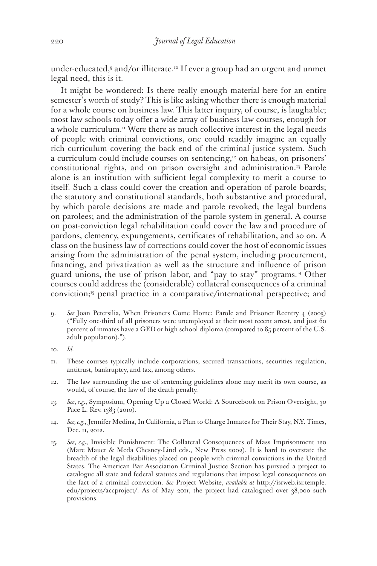under-educated,9 and/or illiterate.10 If ever a group had an urgent and unmet legal need, this is it.

It might be wondered: Is there really enough material here for an entire semester's worth of study? This is like asking whether there is enough material for a whole course on business law. This latter inquiry, of course, is laughable; most law schools today offer a wide array of business law courses, enough for a whole curriculum.<sup>11</sup> Were there as much collective interest in the legal needs of people with criminal convictions, one could readily imagine an equally rich curriculum covering the back end of the criminal justice system. Such a curriculum could include courses on sentencing,<sup>12</sup> on habeas, on prisoners' constitutional rights, and on prison oversight and administration.13 Parole alone is an institution with sufficient legal complexity to merit a course to itself. Such a class could cover the creation and operation of parole boards; the statutory and constitutional standards, both substantive and procedural, by which parole decisions are made and parole revoked; the legal burdens on parolees; and the administration of the parole system in general. A course on post-conviction legal rehabilitation could cover the law and procedure of pardons, clemency, expungements, certificates of rehabilitation, and so on. A class on the business law of corrections could cover the host of economic issues arising from the administration of the penal system, including procurement, financing, and privatization as well as the structure and influence of prison guard unions, the use of prison labor, and "pay to stay" programs.14 Other courses could address the (considerable) collateral consequences of a criminal conviction;15 penal practice in a comparative/international perspective; and

9. *See* Joan Petersilia, When Prisoners Come Home: Parole and Prisoner Reentry 4 (2003) ("Fully one-third of all prisoners were unemployed at their most recent arrest, and just 60 percent of inmates have a GED or high school diploma (compared to 85 percent of the U.S. adult population).").

- 11. These courses typically include corporations, secured transactions, securities regulation, antitrust, bankruptcy, and tax, among others.
- 12. The law surrounding the use of sentencing guidelines alone may merit its own course, as would, of course, the law of the death penalty.
- 13. *See*, *e.g.*, Symposium, Opening Up a Closed World: A Sourcebook on Prison Oversight, 30 Pace L. Rev. 1383 (2010).
- 14. *See, e.g.*, Jennifer Medina, In California, a Plan to Charge Inmates for Their Stay, N.Y. Times, Dec. 11, 2012.
- 15. *See*, *e.g.*, Invisible Punishment: The Collateral Consequences of Mass Imprisonment 120 (Marc Mauer & Meda Chesney-Lind eds., New Press 2002). It is hard to overstate the breadth of the legal disabilities placed on people with criminal convictions in the United States. The American Bar Association Criminal Justice Section has pursued a project to catalogue all state and federal statutes and regulations that impose legal consequences on the fact of a criminal conviction. *See* Project Website, *available at* http://isrweb.isr.temple. edu/projects/accproject/. As of May 2011, the project had catalogued over 38,000 such provisions.

<sup>10.</sup> *Id.*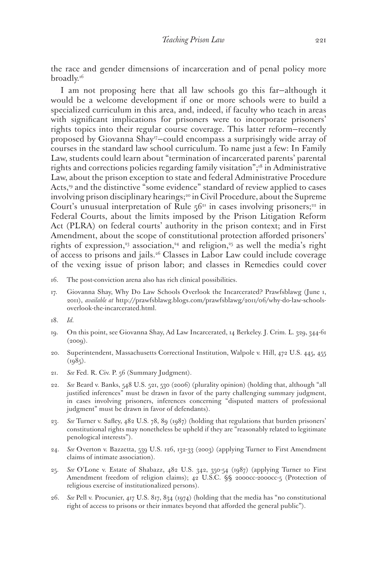the race and gender dimensions of incarceration and of penal policy more broadly.<sup>16</sup>

I am not proposing here that all law schools go this far—although it would be a welcome development if one or more schools were to build a specialized curriculum in this area, and, indeed, if faculty who teach in areas with significant implications for prisoners were to incorporate prisoners' rights topics into their regular course coverage. This latter reform—recently proposed by Giovanna Shay<sup>17</sup>-could encompass a surprisingly wide array of courses in the standard law school curriculum. To name just a few: In Family Law, students could learn about "termination of incarcerated parents' parental rights and corrections policies regarding family visitation";18 in Administrative Law, about the prison exception to state and federal Administrative Procedure Acts,<sup>19</sup> and the distinctive "some evidence" standard of review applied to cases involving prison disciplinary hearings;<sup>20</sup> in Civil Procedure, about the Supreme Court's unusual interpretation of Rule  $56<sup>21</sup>$  in cases involving prisoners;<sup>22</sup> in Federal Courts, about the limits imposed by the Prison Litigation Reform Act (PLRA) on federal courts' authority in the prison context; and in First Amendment, about the scope of constitutional protection afforded prisoners' rights of expression,<sup>23</sup> association,<sup>24</sup> and religion,<sup>25</sup> as well the media's right of access to prisons and jails.26 Classes in Labor Law could include coverage of the vexing issue of prison labor; and classes in Remedies could cover

- 16. The post-conviction arena also has rich clinical possibilities.
- 17. Giovanna Shay, Why Do Law Schools Overlook the Incarcerated? Prawfsblawg (June 1, 2011), *available at* http://prawfsblawg.blogs.com/prawfsblawg/2011/06/why-do-law-schoolsoverlook-the-incarcerated.html.
- 18. *Id.*
- 19. On this point, see Giovanna Shay, Ad Law Incarcerated, 14 Berkeley. J. Crim. L. 329, 344-61  $(2009).$
- 20. Superintendent, Massachusetts Correctional Institution, Walpole v. Hill, 472 U.S. 445, 455  $(1985)$ .
- 21. *See* Fed. R. Civ. P. 56 (Summary Judgment).
- 22. *See* Beard v. Banks, 548 U.S. 521, 530 (2006) (plurality opinion) (holding that, although "all justified inferences" must be drawn in favor of the party challenging summary judgment, in cases involving prisoners, inferences concerning "disputed matters of professional judgment" must be drawn in favor of defendants).
- 23. *See* Turner v. Safley, 482 U.S. 78, 89 (1987) (holding that regulations that burden prisoners' constitutional rights may nonetheless be upheld if they are "reasonably related to legitimate penological interests").
- 24. *See* Overton v. Bazzetta, 539 U.S. 126, 132-33 (2003) (applying Turner to First Amendment claims of intimate association).
- 25. *See* O'Lone v. Estate of Shabazz, 482 U.S. 342, 350-54 (1987) (applying Turner to First Amendment freedom of religion claims); 42 U.S.C. §§ 2000cc-2000cc-5 (Protection of religious exercise of institutionalized persons).
- 26. *See* Pell v. Procunier, 417 U.S. 817, 834 (1974) (holding that the media has "no constitutional right of access to prisons or their inmates beyond that afforded the general public").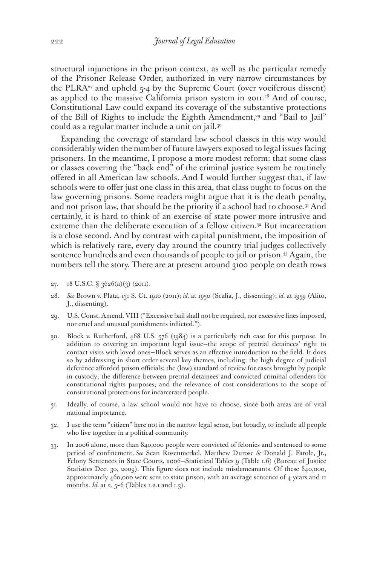structural injunctions in the prison context, as well as the particular remedy of the Prisoner Release Order, authorized in very narrow circumstances by the PLRA<sup>27</sup> and upheld  $5-4$  by the Supreme Court (over vociferous dissent) as applied to the massive California prison system in 2011.<sup>28</sup> And of course, Constitutional Law could expand its coverage of the substantive protections of the Bill of Rights to include the Eighth Amendment,<sup>29</sup> and "Bail to Jail" could as a regular matter include a unit on jail.<sup>30</sup>

Expanding the coverage of standard law school classes in this way would considerably widen the number of future lawyers exposed to legal issues facing prisoners. In the meantime, I propose a more modest reform: that some class or classes covering the "back end" of the criminal justice system be routinely offered in all American law schools. And I would further suggest that, if law schools were to offer just one class in this area, that class ought to focus on the law governing prisons. Some readers might argue that it is the death penalty, and not prison law, that should be the priority if a school had to choose.<sup>31</sup> And certainly, it is hard to think of an exercise of state power more intrusive and extreme than the deliberate execution of a fellow citizen.<sup>32</sup> But incarceration is a close second. And by contrast with capital punishment, the imposition of which is relatively rare, every day around the country trial judges collectively sentence hundreds and even thousands of people to jail or prison.33 Again, the numbers tell the story. There are at present around 3100 people on death rows

- 27. 18 U.S.C. § 3626(a)(3) (2011).
- 28. *See* Brown v. Plata, 131 S. Ct. 1910 (2011); *id.* at 1950 (Scalia, J., dissenting); *id.* at 1959 (Alito, J., dissenting).
- 29. U.S. Const. Amend. VIII ("Excessive bail shall not be required, nor excessive fines imposed, nor cruel and unusual punishments inflicted.").
- 30. Block v. Rutherford, 468 U.S. 576 (1984) is a particularly rich case for this purpose. In addition to covering an important legal issue—the scope of pretrial detainees' right to contact visits with loved ones—Block serves as an effective introduction to the field. It does so by addressing in short order several key themes, including: the high degree of judicial deference afforded prison officials; the (low) standard of review for cases brought by people in custody; the difference between pretrial detainees and convicted criminal offenders for constitutional rights purposes; and the relevance of cost considerations to the scope of constitutional protections for incarcerated people.
- 31. Ideally, of course, a law school would not have to choose, since both areas are of vital national importance.
- 32. I use the term "citizen" here not in the narrow legal sense, but broadly, to include all people who live together in a political community.
- 33. In 2006 alone, more than 840,000 people were convicted of felonies and sentenced to some period of confinement. *See* Sean Rosenmerkel, Matthew Durose & Donald J. Farole, Jr., Felony Sentences in State Courts, 2006—Statistical Tables 9 (Table 1.6) (Bureau of Justice Statistics Dec. 30, 2009). This figure does not include misdemeanants. Of these 840,000, approximately 460,000 were sent to state prison, with an average sentence of 4 years and 11 months. *Id.* at 2, 5–6 (Tables 1.2.1 and 1.3).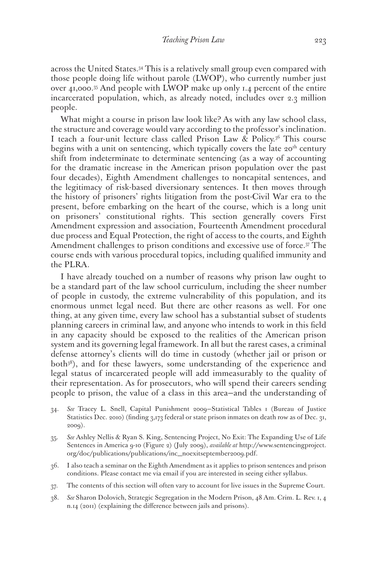across the United States.34 This is a relatively small group even compared with those people doing life without parole (LWOP), who currently number just over 41,000.35 And people with LWOP make up only 1.4 percent of the entire incarcerated population, which, as already noted, includes over 2.3 million people.

What might a course in prison law look like? As with any law school class, the structure and coverage would vary according to the professor's inclination. I teach a four-unit lecture class called Prison Law & Policy.36 This course begins with a unit on sentencing, which typically covers the late  $20<sup>th</sup>$  century shift from indeterminate to determinate sentencing (as a way of accounting for the dramatic increase in the American prison population over the past four decades), Eighth Amendment challenges to noncapital sentences, and the legitimacy of risk-based diversionary sentences. It then moves through the history of prisoners' rights litigation from the post-Civil War era to the present, before embarking on the heart of the course, which is a long unit on prisoners' constitutional rights. This section generally covers First Amendment expression and association, Fourteenth Amendment procedural due process and Equal Protection, the right of access to the courts, and Eighth Amendment challenges to prison conditions and excessive use of force.37 The course ends with various procedural topics, including qualified immunity and the PLRA.

I have already touched on a number of reasons why prison law ought to be a standard part of the law school curriculum, including the sheer number of people in custody, the extreme vulnerability of this population, and its enormous unmet legal need. But there are other reasons as well. For one thing, at any given time, every law school has a substantial subset of students planning careers in criminal law, and anyone who intends to work in this field in any capacity should be exposed to the realities of the American prison system and its governing legal framework. In all but the rarest cases, a criminal defense attorney's clients will do time in custody (whether jail or prison or both<sup>38</sup>), and for these lawyers, some understanding of the experience and legal status of incarcerated people will add immeasurably to the quality of their representation. As for prosecutors, who will spend their careers sending people to prison, the value of a class in this area—and the understanding of

- 34. *See* Tracey L. Snell, Capital Punishment 2009—Statistical Tables 1 (Bureau of Justice Statistics Dec. 2010) (finding 3,173 federal or state prison inmates on death row as of Dec. 31, 2009).
- 35. *See* Ashley Nellis & Ryan S. King, Sentencing Project, No Exit: The Expanding Use of Life Sentences in America 9-10 (Figure 2) (July 2009), *available at* http://www.sentencingproject. org/doc/publications/publications/inc\_noexitseptember2009.pdf.
- 36. I also teach a seminar on the Eighth Amendment as it applies to prison sentences and prison conditions. Please contact me via email if you are interested in seeing either syllabus.
- 37. The contents of this section will often vary to account for live issues in the Supreme Court.
- 38. *See* Sharon Dolovich, Strategic Segregation in the Modern Prison, 48 Am. Crim. L. Rev. 1, 4 n.14 (2011) (explaining the difference between jails and prisons).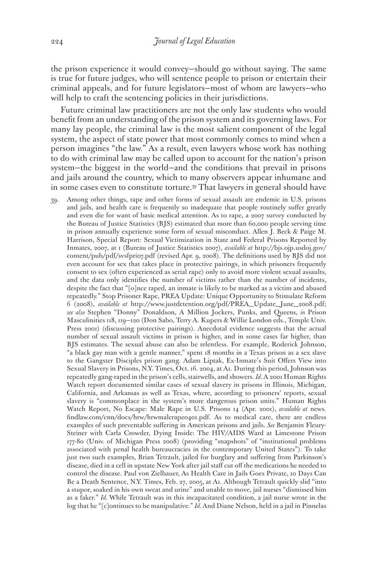the prison experience it would convey—should go without saying. The same is true for future judges, who will sentence people to prison or entertain their criminal appeals, and for future legislators—most of whom are lawyers—who will help to craft the sentencing policies in their jurisdictions.

Future criminal law practitioners are not the only law students who would benefit from an understanding of the prison system and its governing laws. For many lay people, the criminal law is the most salient component of the legal system, the aspect of state power that most commonly comes to mind when a person imagines "the law." As a result, even lawyers whose work has nothing to do with criminal law may be called upon to account for the nation's prison system—the biggest in the world—and the conditions that prevail in prisons and jails around the country, which to many observers appear inhumane and in some cases even to constitute torture.39 That lawyers in general should have

39. Among other things, rape and other forms of sexual assault are endemic in U.S. prisons and jails, and health care is frequently so inadequate that people routinely suffer greatly and even die for want of basic medical attention. As to rape, a 2007 survey conducted by the Bureau of Justice Statistics (BJS) estimated that more than 60,000 people serving time in prison annually experience some form of sexual misconduct. Allen J. Beck & Paige M. Harrison, Special Report: Sexual Victimization in State and Federal Prisons Reported by Inmates, 2007, at 1 (Bureau of Justice Statistics 2007), *available at* http://bjs.ojp.usdoj.gov/ content/pub/pdf/svsfpri07.pdf (revised Apr. 9, 2008). The definitions used by BJS did not even account for sex that takes place in protective pairings, in which prisoners frequently consent to sex (often experienced as serial rape) only to avoid more violent sexual assaults, and the data only identifies the number of victims rather than the number of incidents, despite the fact that "[o]nce raped, an inmate is likely to be marked as a victim and abused repeatedly." Stop Prisoner Rape, PREA Update: Unique Opportunity to Stimulate Reform 6 (2008), *available at* http://www.justdetention.org/pdf/PREA\_Update\_June\_2008.pdf; *see also* Stephen "Donny" Donaldson, A Million Jockers, Punks, and Queens, *in* Prison Masculinities 118, 119—120 (Don Sabo, Terry A. Kupers & Willie London eds., Temple Univ. Press 2001) (discussing protective pairings). Anecdotal evidence suggests that the actual number of sexual assault victims in prison is higher, and in some cases far higher, than BJS estimates. The sexual abuse can also be relentless. For example, Roderick Johnson, "a black gay man with a gentle manner," spent 18 months in a Texas prison as a sex slave to the Gangster Disciples prison gang. Adam Liptak, Ex-Inmate's Suit Offers View into Sexual Slavery in Prisons, N.Y. Times, Oct. 16. 2004, at A1. During this period, Johnson was repeatedly gang-raped in the prison's cells, stairwells, and showers. *Id.* A 2001 Human Rights Watch report documented similar cases of sexual slavery in prisons in Illinois, Michigan, California, and Arkansas as well as Texas, where, according to prisoners' reports, sexual slavery is "commonplace in the system's more dangerous prison units." Human Rights Watch Report, No Escape: Male Rape in U.S. Prisons 14 (Apr. 2001), *available at* news. findlaw.com/cnn/docs/hrw/hrwmalerape0401.pdf. As to medical care, there are endless examples of such preventable suffering in American prisons and jails. *See* Benjamin Fleury-Steiner with Carla Crowder, Dying Inside: The HIV/AIDS Ward at Limestone Prison 177-80 (Univ. of Michigan Press 2008) (providing "snapshots" of "institutional problems associated with penal health bureaucracies in the contemporary United States"). To take just two such examples, Brian Tetrault, jailed for burglary and suffering from Parkinson's disease, died in a cell in upstate New York after jail staff cut off the medications he needed to control the disease. Paul von Zielbauer, As Health Care in Jails Goes Private, 10 Days Can Be a Death Sentence, N.Y. Times, Feb. 27, 2005, at A1. Although Tetrault quickly slid "into a stupor, soaked in his own sweat and urine" and unable to move, jail nurses "dismissed him as a faker." *Id.* While Tetrault was in this incapacitated condition, a jail nurse wrote in the log that he "[c]ontinues to be manipulative." *Id.* And Diane Nelson, held in a jail in Pinnelas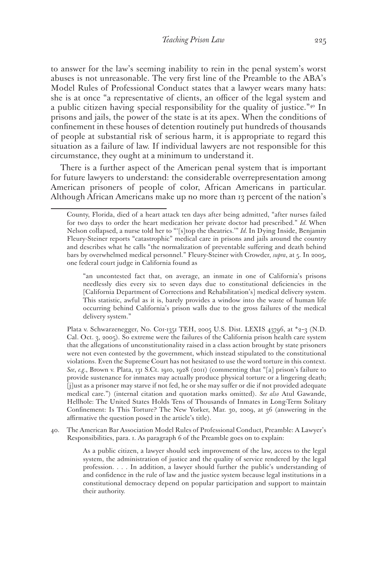to answer for the law's seeming inability to rein in the penal system's worst abuses is not unreasonable. The very first line of the Preamble to the ABA's Model Rules of Professional Conduct states that a lawyer wears many hats: she is at once "a representative of clients, an officer of the legal system and a public citizen having special responsibility for the quality of justice."40 In prisons and jails, the power of the state is at its apex. When the conditions of confinement in these houses of detention routinely put hundreds of thousands of people at substantial risk of serious harm, it is appropriate to regard this situation as a failure of law. If individual lawyers are not responsible for this circumstance, they ought at a minimum to understand it.

There is a further aspect of the American penal system that is important for future lawyers to understand: the considerable overrepresentation among American prisoners of people of color, African Americans in particular. Although African Americans make up no more than 13 percent of the nation's

Plata v. Schwarzenegger, No. C01-1351 TEH, 2005 U.S. Dist. LEXIS 43796, at \*2-3 (N.D. Cal. Oct. 3, 2005). So extreme were the failures of the California prison health care system that the allegations of unconstitutionality raised in a class action brought by state prisoners were not even contested by the government, which instead stipulated to the constitutional violations. Even the Supreme Court has not hesitated to use the word torture in this context. *See*, *e.g.*, Brown v. Plata, 131 S.Ct. 1910, 1928 (2011) (commenting that "[a] prison's failure to provide sustenance for inmates may actually produce physical torture or a lingering death; [j]ust as a prisoner may starve if not fed, he or she may suffer or die if not provided adequate medical care.") (internal citation and quotation marks omitted). *See also* Atul Gawande, Hellhole: The United States Holds Tens of Thousands of Inmates in Long-Term Solitary Confinement: Is This Torture? The New Yorker, Mar. 30, 2009, at 36 (answering in the affirmative the question posed in the article's title).

40. The American Bar Association Model Rules of Professional Conduct, Preamble: A Lawyer's Responsibilities, para. 1. As paragraph 6 of the Preamble goes on to explain:

> As a public citizen, a lawyer should seek improvement of the law, access to the legal system, the administration of justice and the quality of service rendered by the legal profession. . . . In addition, a lawyer should further the public's understanding of and confidence in the rule of law and the justice system because legal institutions in a constitutional democracy depend on popular participation and support to maintain their authority.

County, Florida, died of a heart attack ten days after being admitted, "after nurses failed for two days to order the heart medication her private doctor had prescribed." *Id.* When Nelson collapsed, a nurse told her to "'[s]top the theatrics.'" *Id.* In Dying Inside, Benjamin Fleury-Steiner reports "catastrophic" medical care in prisons and jails around the country and describes what he calls "the normalization of preventable suffering and death behind bars by overwhelmed medical personnel." Fleury-Steiner with Crowder, *supra*, at 5. In 2005, one federal court judge in California found as

<sup>&</sup>quot;an uncontested fact that, on average, an inmate in one of California's prisons needlessly dies every six to seven days due to constitutional deficiencies in the [California Department of Corrections and Rehabilitation's] medical delivery system. This statistic, awful as it is, barely provides a window into the waste of human life occurring behind California's prison walls due to the gross failures of the medical delivery system."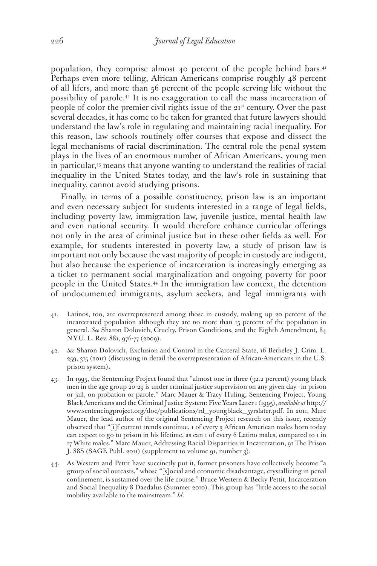population, they comprise almost 40 percent of the people behind bars.<sup>41</sup> Perhaps even more telling, African Americans comprise roughly 48 percent of all lifers, and more than 56 percent of the people serving life without the possibility of parole.42 It is no exaggeration to call the mass incarceration of people of color the premier civil rights issue of the 21<sup>st</sup> century. Over the past several decades, it has come to be taken for granted that future lawyers should understand the law's role in regulating and maintaining racial inequality. For this reason, law schools routinely offer courses that expose and dissect the legal mechanisms of racial discrimination. The central role the penal system plays in the lives of an enormous number of African Americans, young men in particular,<sup>43</sup> means that anyone wanting to understand the realities of racial inequality in the United States today, and the law's role in sustaining that inequality, cannot avoid studying prisons.

Finally, in terms of a possible constituency, prison law is an important and even necessary subject for students interested in a range of legal fields, including poverty law, immigration law, juvenile justice, mental health law and even national security. It would therefore enhance curricular offerings not only in the area of criminal justice but in these other fields as well. For example, for students interested in poverty law, a study of prison law is important not only because the vast majority of people in custody are indigent, but also because the experience of incarceration is increasingly emerging as a ticket to permanent social marginalization and ongoing poverty for poor people in the United States.44 In the immigration law context, the detention of undocumented immigrants, asylum seekers, and legal immigrants with

- 41. Latinos, too, are overrepresented among those in custody, making up 20 percent of the incarcerated population although they are no more than 15 percent of the population in general. *See* Sharon Dolovich, Cruelty, Prison Conditions, and the Eighth Amendment, 84 N.Y.U. L. Rev. 881, 976-77 (2009).
- 42. *See* Sharon Dolovich, Exclusion and Control in the Carceral State, 16 Berkeley J. Crim. L. 259, 315 (2011) (discussing in detail the overrepresentation of African-Americans in the U.S. prison system)**.**
- 43. In 1995, the Sentencing Project found that "almost one in three (32.2 percent) young black men in the age group 20-29 is under criminal justice supervision on any given day—in prison or jail, on probation or parole." Marc Mauer & Tracy Huling, Sentencing Project, Young Black Americans and the Criminal Justice System: Five Years Later 1 (1995), *available at* http:// www.sentencingproject.org/doc/publications/rd\_youngblack\_5yrslater.pdf. In 2011, Marc Mauer, the lead author of the original Sentencing Project research on this issue, recently observed that "[i]f current trends continue, 1 of every 3 African American males born today can expect to go to prison in his lifetime, as can 1 of every 6 Latino males, compared to 1 in 17 White males." Marc Mauer, Addressing Racial Disparities in Incarceration, 91 The Prison J. 88S (SAGE Publ. 2011) (supplement to volume 91, number 3).
- 44. As Western and Pettit have succinctly put it, former prisoners have collectively become "a group of social outcasts," whose "[s]ocial and economic disadvantage, crystallizing in penal confinement, is sustained over the life course." Bruce Western & Becky Pettit, Incarceration and Social Inequality 8 Daedalus (Summer 2010). This group has "little access to the social mobility available to the mainstream." *Id*.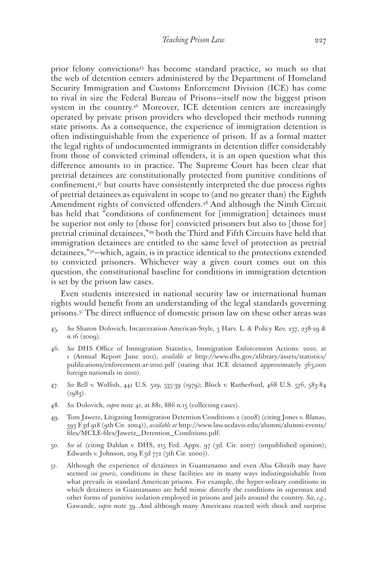prior felony convictions45 has become standard practice, so much so that the web of detention centers administered by the Department of Homeland Security Immigration and Customs Enforcement Division (ICE) has come to rival in size the Federal Bureau of Prisons—itself now the biggest prison system in the country.<sup>46</sup> Moreover, ICE detention centers are increasingly operated by private prison providers who developed their methods running state prisons. As a consequence, the experience of immigration detention is often indistinguishable from the experience of prison. If as a formal matter the legal rights of undocumented immigrants in detention differ considerably from those of convicted criminal offenders, it is an open question what this difference amounts to in practice. The Supreme Court has been clear that pretrial detainees are constitutionally protected from punitive conditions of confinement,47 but courts have consistently interpreted the due process rights of pretrial detainees as equivalent in scope to (and no greater than) the Eighth Amendment rights of convicted offenders.<sup>48</sup> And although the Ninth Circuit has held that "conditions of confinement for [immigration] detainees must be superior not only to [those for] convicted prisoners but also to [those for] pretrial criminal detainees,"49 both the Third and Fifth Circuits have held that immigration detainees are entitled to the same level of protection as pretrial detainees,"50—which, again, is in practice identical to the protections extended to convicted prisoners. Whichever way a given court comes out on this question, the constitutional baseline for conditions in immigration detention is set by the prison law cases.

Even students interested in national security law or international human rights would benefit from an understanding of the legal standards governing prisons.51 The direct influence of domestic prison law on these other areas was

- 45. *See* Sharon Dolovich, Incarceration American-Style, 3 Harv. L. & Policy Rev. 237, 238-29 & n.16 (2009).
- 46. *See* DHS Office of Immigration Statistics, Immigration Enforcement Actions: 2010, at 1 (Annual Report June 2011), *available at* http://www.dhs.gov/xlibrary/assets/statistics/ publications/enforcement-ar-2010.pdf (stating that ICE detained approximately 363,000 foreign nationals in 2010).
- 47. *See* Bell v. Wolfish, 441 U.S. 529, 535-39 (1979); Block v. Rutherford, 468 U.S. 576, 583-84  $(1983)$ .
- 48. *See* Dolovich, *supra* note 41, at 881, 886 n.15 (collecting cases).
- 49. Tom Jawetz, Litigating Immigration Detention Conditions 2 (2008) (citing Jones v. Blanas, 393 F.3d 918 (9th Cir. 2004)), *available at* http://www.law.ucdavis.edu/alumni/alumni-events/ files/MCLE-files/Jawetz\_Detention\_Conditions.pdf.
- 50. *See id.* (citing Dahlan v. DHS, 215 Fed. Appx. 97 (3d. Cir. 2007) (unpublished opinion); Edwards v. Johnson, 209 F.3d 772 (5th Cir. 2000)).
- 51. Although the experience of detainees in Guantanamo and even Abu Ghraib may have seemed *sui generis*, conditions in these facilities are in many ways indistinguishable from what prevails in standard American prisons. For example, the hyper-solitary conditions in which detainees in Guantanamo are held mimic directly the conditions in supermax and other forms of punitive isolation employed in prisons and jails around the country. *See, e.g.*, Gawande, *supra* note 39. And although many Americans reacted with shock and surprise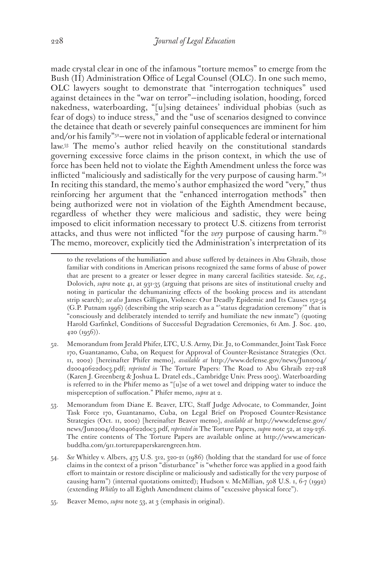made crystal clear in one of the infamous "torture memos" to emerge from the Bush (II) Administration Office of Legal Counsel (OLC). In one such memo, OLC lawyers sought to demonstrate that "interrogation techniques" used against detainees in the "war on terror"—including isolation, hooding, forced nakedness, waterboarding, "[u]sing detainees' individual phobias (such as fear of dogs) to induce stress," and the "use of scenarios designed to convince the detainee that death or severely painful consequences are imminent for him and/or his family"52—were not in violation of applicable federal or international law.53 The memo's author relied heavily on the constitutional standards governing excessive force claims in the prison context, in which the use of force has been held not to violate the Eighth Amendment unless the force was inflicted "maliciously and sadistically for the very purpose of causing harm."54 In reciting this standard, the memo's author emphasized the word "very," thus reinforcing her argument that the "enhanced interrogation methods" then being authorized were not in violation of the Eighth Amendment because, regardless of whether they were malicious and sadistic, they were being imposed to elicit information necessary to protect U.S. citizens from terrorist attacks, and thus were not inflicted "for the *very* purpose of causing harm."55 The memo, moreover, explicitly tied the Administration's interpretation of its

to the revelations of the humiliation and abuse suffered by detainees in Abu Ghraib, those familiar with conditions in American prisons recognized the same forms of abuse of power that are present to a greater or lesser degree in many carceral facilities stateside. *See, e.g.*, Dolovich, *supra* note 41, at 931-35 (arguing that prisons are sites of institutional cruelty and noting in particular the dehumanizing effects of the booking process and its attendant strip search); *see also* James Gilligan, Violence: Our Deadly Epidemic and Its Causes 152-54 (G.P. Putnam 1996) (describing the strip search as a "'status degradation ceremony'" that is "consciously and deliberately intended to terrify and humiliate the new inmate") (quoting Harold Garfinkel, Conditions of Successful Degradation Ceremonies, 61 Am. J. Soc. 420, 420 (1956)).

<sup>52.</sup> Memorandum from Jerald Phifer, LTC, U.S. Army, Dir. J2, to Commander, Joint Task Force 170, Guantanamo, Cuba, on Request for Approval of Counter-Resistance Strategies (Oct. 11, 2002) [hereinafter Phifer memo], *available at* http://www.defense.gov/news/Jun2004/ d20040622doc3.pdf; *reprinted in* The Torture Papers: The Road to Abu Ghraib 227-228 (Karen J. Greenberg & Joshua L. Dratel eds., Cambridge Univ. Press 2005). Waterboarding is referred to in the Phifer memo as "[u]se of a wet towel and dripping water to induce the misperception of suffocation." Phifer memo, *supra* at 2.

<sup>53.</sup> Memorandum from Diane E. Beaver, LTC, Staff Judge Advocate, to Commander, Joint Task Force 170, Guantanamo, Cuba, on Legal Brief on Proposed Counter-Resistance Strategies (Oct. 11, 2002) [hereinafter Beaver memo], *available at* http://www.defense.gov/ news/Jun2004/d20040622doc3.pdf, *reprinted in* The Torture Papers, *supra* note 52, at 229-236. The entire contents of The Torture Papers are available online at http://www.americanbuddha.com/911.torturepaperskarengreen.htm.

<sup>54.</sup> *See* Whitley v. Albers, 475 U.S. 312, 320-21 (1986) (holding that the standard for use of force claims in the context of a prison "disturbance" is "whether force was applied in a good faith effort to maintain or restore discipline or maliciously and sadistically for the very purpose of causing harm") (internal quotations omitted); Hudson v. McMillian, 508 U.S. 1, 6-7 (1992) (extending *Whitley* to all Eighth Amendment claims of "excessive physical force").

<sup>55.</sup> Beaver Memo, *supra* note 53, at 3 (emphasis in original).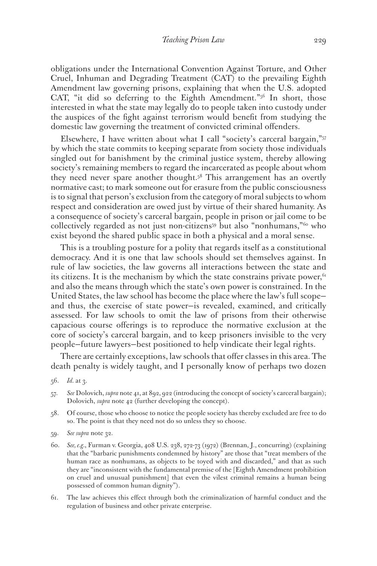obligations under the International Convention Against Torture, and Other Cruel, Inhuman and Degrading Treatment (CAT) to the prevailing Eighth Amendment law governing prisons, explaining that when the U.S. adopted CAT, "it did so deferring to the Eighth Amendment."56 In short, those interested in what the state may legally do to people taken into custody under the auspices of the fight against terrorism would benefit from studying the domestic law governing the treatment of convicted criminal offenders.

Elsewhere, I have written about what I call "society's carceral bargain,"57 by which the state commits to keeping separate from society those individuals singled out for banishment by the criminal justice system, thereby allowing society's remaining members to regard the incarcerated as people about whom they need never spare another thought.<sup>58</sup> This arrangement has an overtly normative cast; to mark someone out for erasure from the public consciousness is to signal that person's exclusion from the category of moral subjects to whom respect and consideration are owed just by virtue of their shared humanity. As a consequence of society's carceral bargain, people in prison or jail come to be collectively regarded as not just non-citizens<sup>59</sup> but also "nonhumans,"<sup>60</sup> who exist beyond the shared public space in both a physical and a moral sense.

This is a troubling posture for a polity that regards itself as a constitutional democracy. And it is one that law schools should set themselves against. In rule of law societies, the law governs all interactions between the state and its citizens. It is the mechanism by which the state constrains private power,  $61$ and also the means through which the state's own power is constrained. In the United States, the law school has become the place where the law's full scope and thus, the exercise of state power—is revealed, examined, and critically assessed. For law schools to omit the law of prisons from their otherwise capacious course offerings is to reproduce the normative exclusion at the core of society's carceral bargain, and to keep prisoners invisible to the very people—future lawyers—best positioned to help vindicate their legal rights.

There are certainly exceptions, law schools that offer classes in this area. The death penalty is widely taught, and I personally know of perhaps two dozen

- 56. *Id.* at 3.
- 57. *See* Dolovich, *supra* note 41, at 892, 922 (introducing the concept of society's carceral bargain); Dolovich, *supra* note 42 (further developing the concept).
- 58. Of course, those who choose to notice the people society has thereby excluded are free to do so. The point is that they need not do so unless they so choose.
- 59. *See supra* note 32.
- 60. *See, e.g.*, Furman v. Georgia, 408 U.S. 238, 272-73 (1972) (Brennan, J., concurring) (explaining that the "barbaric punishments condemned by history" are those that "treat members of the human race as nonhumans, as objects to be toyed with and discarded," and that as such they are "inconsistent with the fundamental premise of the [Eighth Amendment prohibition on cruel and unusual punishment] that even the vilest criminal remains a human being possessed of common human dignity").
- 61. The law achieves this effect through both the criminalization of harmful conduct and the regulation of business and other private enterprise.